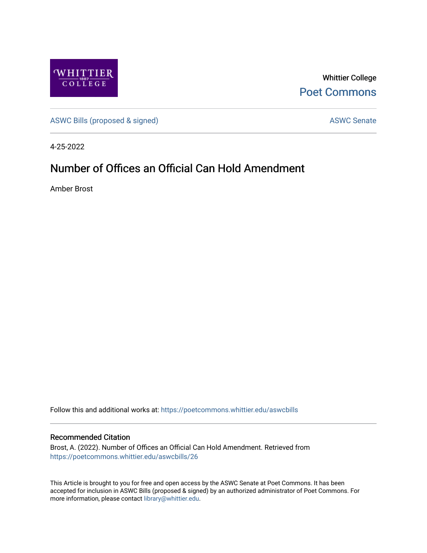

Whittier College [Poet Commons](https://poetcommons.whittier.edu/) 

[ASWC Bills \(proposed & signed\)](https://poetcommons.whittier.edu/aswcbills) ASWC Senate

4-25-2022

## Number of Offices an Official Can Hold Amendment

Amber Brost

Follow this and additional works at: [https://poetcommons.whittier.edu/aswcbills](https://poetcommons.whittier.edu/aswcbills?utm_source=poetcommons.whittier.edu%2Faswcbills%2F26&utm_medium=PDF&utm_campaign=PDFCoverPages) 

## Recommended Citation

Brost, A. (2022). Number of Offices an Official Can Hold Amendment. Retrieved from [https://poetcommons.whittier.edu/aswcbills/26](https://poetcommons.whittier.edu/aswcbills/26?utm_source=poetcommons.whittier.edu%2Faswcbills%2F26&utm_medium=PDF&utm_campaign=PDFCoverPages)

This Article is brought to you for free and open access by the ASWC Senate at Poet Commons. It has been accepted for inclusion in ASWC Bills (proposed & signed) by an authorized administrator of Poet Commons. For more information, please contact [library@whittier.edu.](mailto:library@whittier.edu)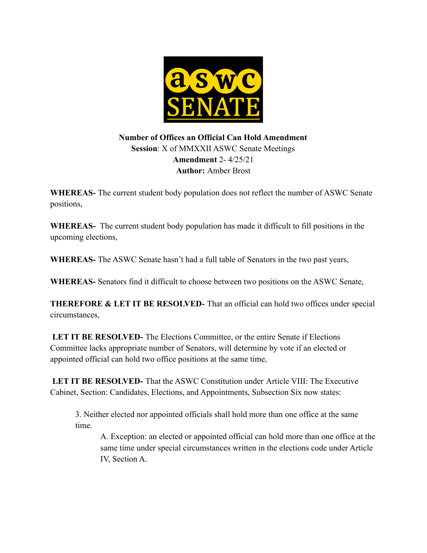

## **Number of Offices an Official Can Hold Amendment Session**: X of MMXXII ASWC Senate Meetings **Amendment** 2- 4/25/21 **Author:** Amber Brost

**WHEREAS-** The current student body population does not reflect the number of ASWC Senate positions,

**WHEREAS-** The current student body population has made it difficult to fill positions in the upcoming elections,

**WHEREAS-** The ASWC Senate hasn't had a full table of Senators in the two past years,

**WHEREAS-** Senators find it difficult to choose between two positions on the ASWC Senate,

**THEREFORE & LET IT BE RESOLVED-** That an official can hold two offices under special circumstances,

**LET IT BE RESOLVED-** The Elections Committee, or the entire Senate if Elections Committee lacks appropriate number of Senators, will determine by vote if an elected or appointed official can hold two office positions at the same time,

**LET IT BE RESOLVED-** That the ASWC Constitution under Article VIII: The Executive Cabinet, Section: Candidates, Elections, and Appointments, Subsection Six now states:

3. Neither elected nor appointed officials shall hold more than one office at the same time.

A. Exception: an elected or appointed official can hold more than one office at the same time under special circumstances written in the elections code under Article IV, Section A.